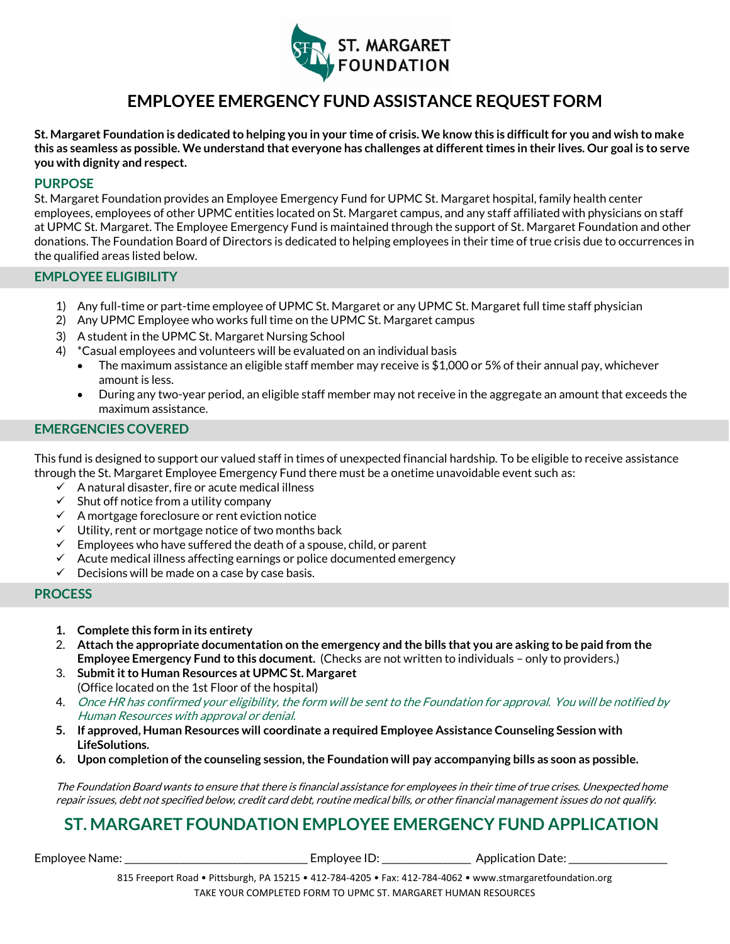

# **EMPLOYEE EMERGENCY FUND ASSISTANCE REQUEST FORM**

**St. Margaret Foundation is dedicated to helping you in your time of crisis. We know this is difficult for you and wish to make this as seamless as possible. We understand that everyone has challenges at different times in their lives. Our goal is to serve you with dignity and respect.** 

#### **PURPOSE**

St. Margaret Foundation provides an Employee Emergency Fund for UPMC St. Margaret hospital, family health center employees, employees of other UPMC entities located on St. Margaret campus, and any staff affiliated with physicians on staff at UPMC St. Margaret. The Employee Emergency Fund is maintained through the support of St. Margaret Foundation and other donations. The Foundation Board of Directors is dedicated to helping employees in their time of true crisis due to occurrences in the qualified areas listed below.

#### **EMPLOYEE ELIGIBILITY**

- 1) Any full-time or part-time employee of UPMC St. Margaret or any UPMC St. Margaret full time staff physician
- 2) Any UPMC Employee who works full time on the UPMC St. Margaret campus
- 3) A student in the UPMC St. Margaret Nursing School
- 4) \*Casual employees and volunteers will be evaluated on an individual basis
	- The maximum assistance an eligible staff member may receive is \$1,000 or 5% of their annual pay, whichever amount is less.
	- During any two-year period, an eligible staff member may not receive in the aggregate an amount that exceeds the maximum assistance.

### **EMERGENCIES COVERED**

This fund is designed to support our valued staff in times of unexpected financial hardship. To be eligible to receive assistance through the St. Margaret Employee Emergency Fund there must be a onetime unavoidable event such as:

- $\checkmark$  A natural disaster, fire or acute medical illness
- $\checkmark$  Shut off notice from a utility company
- $\checkmark$  A mortgage foreclosure or rent eviction notice
- ✓ Utility, rent or mortgage notice of two months back
- $\checkmark$  Employees who have suffered the death of a spouse, child, or parent
- ✓ Acute medical illness affecting earnings or police documented emergency
- $\checkmark$  Decisions will be made on a case by case basis.

#### **PROCESS**

- **1. Complete this form in its entirety**
- 2. **Attach the appropriate documentation on the emergency and the bills that you are asking to be paid from the Employee Emergency Fund to this document.** (Checks are not written to individuals – only to providers.)
- 3. **Submit it to Human Resources at UPMC St. Margaret**  (Office located on the 1st Floor of the hospital)
- 4. Once HR has confirmed your eligibility, the form will be sent to the Foundation for approval. You will be notified by Human Resources with approval or denial.
- **5. If approved, Human Resources will coordinate a required Employee Assistance Counseling Session with LifeSolutions.**
- **6. Upon completion of the counseling session, the Foundation will pay accompanying bills as soon as possible.**

The Foundation Board wants to ensure that there is financial assistance for employees in their time of true crises. Unexpected home repair issues, debt not specified below, credit card debt, routine medical bills, or other financial management issues do not qualify.

## **ST. MARGARET FOUNDATION EMPLOYEE EMERGENCY FUND APPLICATION**

Employee Name: \_\_\_\_\_\_\_\_\_\_\_\_\_\_\_\_\_\_\_\_\_\_\_\_\_\_\_\_\_\_\_\_\_\_\_\_\_\_\_ Employee ID: \_\_\_\_\_\_\_\_\_\_\_\_\_\_\_\_\_\_\_ Application Date: \_\_\_\_\_\_\_\_\_\_\_\_\_\_\_\_\_\_\_\_\_

815 Freeport Road • Pittsburgh, PA 15215 • 412-784-4205 • Fax: 412-784-4062 • www.stmargaretfoundation.org TAKE YOUR COMPLETED FORM TO UPMC ST. MARGARET HUMAN RESOURCES